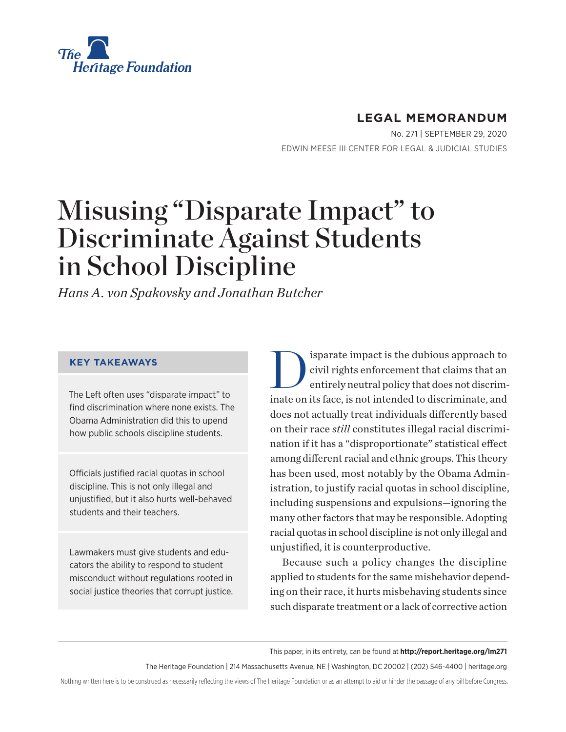

## **LEGAL MEMORANDUM**

No. 271 | September 29, 2020 EDWIN MEESE III CENTER FOR LEGAL & JUDICIAL STUDIES

# Misusing "Disparate Impact" to Discriminate Against Students in School Discipline

*Hans A. von Spakovsky and Jonathan Butcher*

#### **KEY TAKEAWAYS**

The Left often uses "disparate impact" to find discrimination where none exists. The Obama Administration did this to upend how public schools discipline students.

Officials justified racial quotas in school discipline. This is not only illegal and unjustified, but it also hurts well-behaved students and their teachers.

Lawmakers must give students and educators the ability to respond to student misconduct without regulations rooted in social justice theories that corrupt justice. Sisparate impact is the dubious approach to<br>civil rights enforcement that claims that an<br>entirely neutral policy that does not discrimcivil rights enforcement that claims that an entirely neutral policy that does not discriminate on its face, is not intended to discriminate, and does not actually treat individuals differently based on their race *still* constitutes illegal racial discrimination if it has a "disproportionate" statistical effect among different racial and ethnic groups. This theory has been used, most notably by the Obama Administration, to justify racial quotas in school discipline, including suspensions and expulsions—ignoring the many other factors that may be responsible. Adopting racial quotas in school discipline is not only illegal and unjustified, it is counterproductive.

Because such a policy changes the discipline applied to students for the same misbehavior depending on their race, it hurts misbehaving students since such disparate treatment or a lack of corrective action

This paper, in its entirety, can be found at **http://report.heritage.org/lm271**

The Heritage Foundation | 214 Massachusetts Avenue, NE | Washington, DC 20002 | (202) 546-4400 | heritage.org

Nothing written here is to be construed as necessarily reflecting the views of The Heritage Foundation or as an attempt to aid or hinder the passage of any bill before Congress.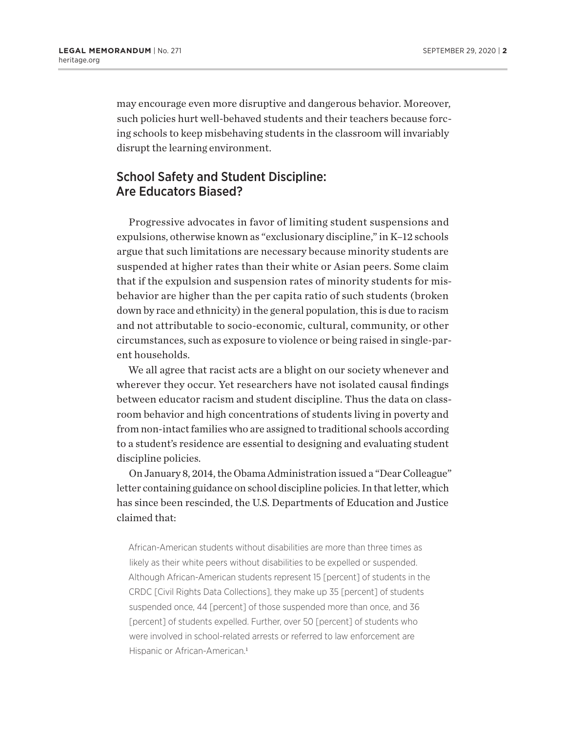may encourage even more disruptive and dangerous behavior. Moreover, such policies hurt well-behaved students and their teachers because forcing schools to keep misbehaving students in the classroom will invariably disrupt the learning environment.

## School Safety and Student Discipline: Are Educators Biased?

Progressive advocates in favor of limiting student suspensions and expulsions, otherwise known as "exclusionary discipline," in K–12 schools argue that such limitations are necessary because minority students are suspended at higher rates than their white or Asian peers. Some claim that if the expulsion and suspension rates of minority students for misbehavior are higher than the per capita ratio of such students (broken down by race and ethnicity) in the general population, this is due to racism and not attributable to socio-economic, cultural, community, or other circumstances, such as exposure to violence or being raised in single-parent households.

We all agree that racist acts are a blight on our society whenever and wherever they occur. Yet researchers have not isolated causal findings between educator racism and student discipline. Thus the data on classroom behavior and high concentrations of students living in poverty and from non-intact families who are assigned to traditional schools according to a student's residence are essential to designing and evaluating student discipline policies.

On January 8, 2014, the Obama Administration issued a "Dear Colleague" letter containing guidance on school discipline policies. In that letter, which has since been rescinded, the U.S. Departments of Education and Justice claimed that:

African-American students without disabilities are more than three times as likely as their white peers without disabilities to be expelled or suspended. Although African-American students represent 15 [percent] of students in the CRDC [Civil Rights Data Collections], they make up 35 [percent] of students suspended once, 44 [percent] of those suspended more than once, and 36 [percent] of students expelled. Further, over 50 [percent] of students who were involved in school-related arrests or referred to law enforcement are Hispanic or African-American.<sup>1</sup>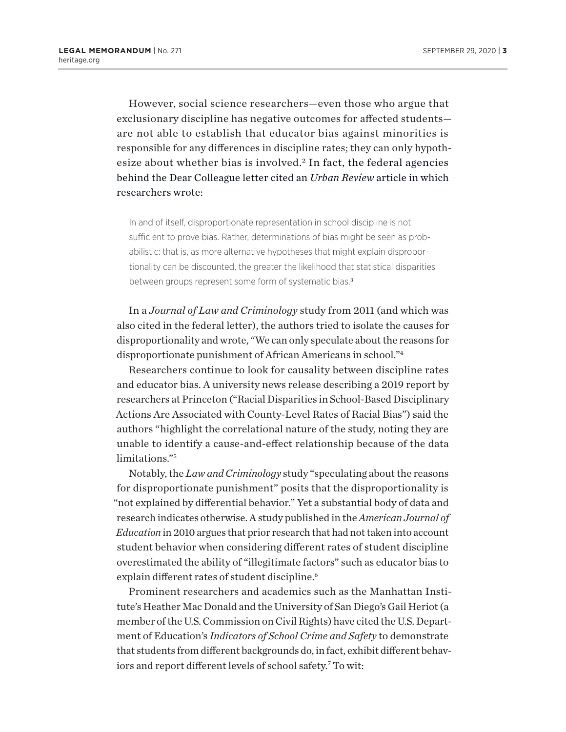However, social science researchers—even those who argue that exclusionary discipline has negative outcomes for affected students are not able to establish that educator bias against minorities is responsible for any differences in discipline rates; they can only hypothesize about whether bias is involved. 2 In fact, the federal agencies behind the Dear Colleague letter cited an *Urban Review* article in which researchers wrote:

In and of itself, disproportionate representation in school discipline is not sufficient to prove bias. Rather, determinations of bias might be seen as probabilistic: that is, as more alternative hypotheses that might explain disproportionality can be discounted, the greater the likelihood that statistical disparities between groups represent some form of systematic bias.<sup>3</sup>

In a *Journal of Law and Criminology* study from 2011 (and which was also cited in the federal letter), the authors tried to isolate the causes for disproportionality and wrote, "We can only speculate about the reasons for disproportionate punishment of African Americans in school."4

Researchers continue to look for causality between discipline rates and educator bias. A university news release describing a 2019 report by researchers at Princeton ("Racial Disparities in School-Based Disciplinary Actions Are Associated with County-Level Rates of Racial Bias") said the authors "highlight the correlational nature of the study, noting they are unable to identify a cause-and-effect relationship because of the data limitations."5

Notably, the *Law and Criminology* study "speculating about the reasons for disproportionate punishment" posits that the disproportionality is "not explained by differential behavior." Yet a substantial body of data and research indicates otherwise. A study published in the *American Journal of Education* in 2010 argues that prior research that had not taken into account student behavior when considering different rates of student discipline overestimated the ability of "illegitimate factors" such as educator bias to explain different rates of student discipline.<sup>6</sup>

Prominent researchers and academics such as the Manhattan Institute's Heather Mac Donald and the University of San Diego's Gail Heriot (a member of the U.S. Commission on Civil Rights) have cited the U.S. Department of Education's *Indicators of School Crime and Safety* to demonstrate that students from different backgrounds do, in fact, exhibit different behaviors and report different levels of school safety.<sup>7</sup> To wit: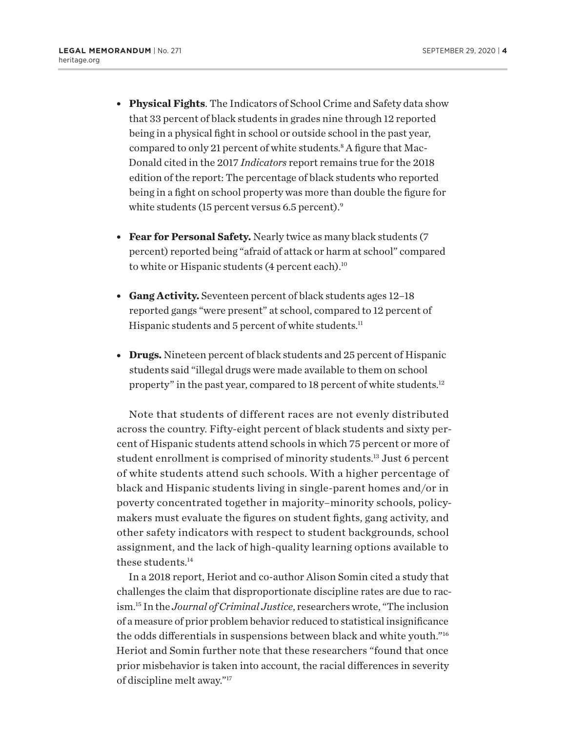- <sup>l</sup> **Physical Fights**. The Indicators of School Crime and Safety data show that 33 percent of black students in grades nine through 12 reported being in a physical fight in school or outside school in the past year, compared to only 21 percent of white students.<sup>8</sup> A figure that Mac-Donald cited in the 2017 *Indicators* report remains true for the 2018 edition of the report: The percentage of black students who reported being in a fight on school property was more than double the figure for white students (15 percent versus 6.5 percent).<sup>9</sup>
- **Fear for Personal Safety.** Nearly twice as many black students (7 percent) reported being "afraid of attack or harm at school" compared to white or Hispanic students (4 percent each).<sup>10</sup>
- **Gang Activity.** Seventeen percent of black students ages 12-18 reported gangs "were present" at school, compared to 12 percent of Hispanic students and 5 percent of white students.<sup>11</sup>
- **Drugs.** Nineteen percent of black students and 25 percent of Hispanic students said "illegal drugs were made available to them on school property" in the past year, compared to 18 percent of white students.12

Note that students of different races are not evenly distributed across the country. Fifty-eight percent of black students and sixty percent of Hispanic students attend schools in which 75 percent or more of student enrollment is comprised of minority students.13 Just 6 percent of white students attend such schools. With a higher percentage of black and Hispanic students living in single-parent homes and/or in poverty concentrated together in majority–minority schools, policymakers must evaluate the figures on student fights, gang activity, and other safety indicators with respect to student backgrounds, school assignment, and the lack of high-quality learning options available to these students.14

In a 2018 report, Heriot and co-author Alison Somin cited a study that challenges the claim that disproportionate discipline rates are due to racism.15 In the *Journal of Criminal Justice*, researchers wrote, "The inclusion of a measure of prior problem behavior reduced to statistical insignificance the odds differentials in suspensions between black and white youth."16 Heriot and Somin further note that these researchers "found that once prior misbehavior is taken into account, the racial differences in severity of discipline melt away."17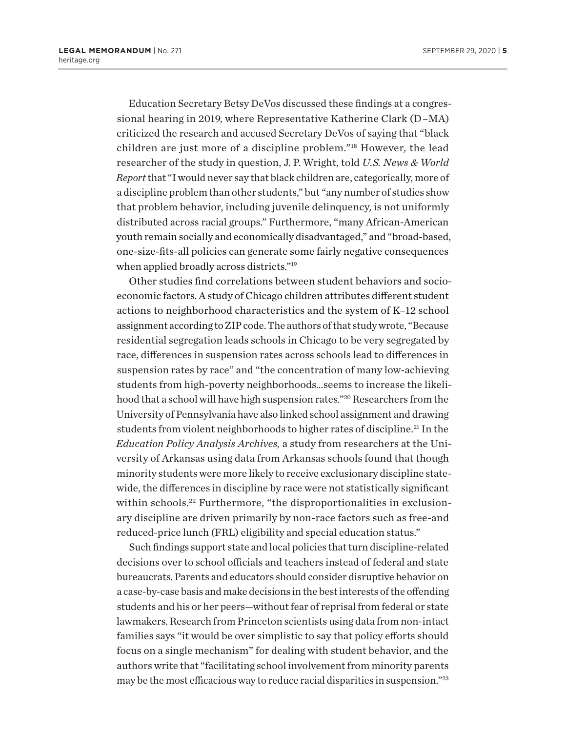Education Secretary Betsy DeVos discussed these findings at a congressional hearing in 2019, where Representative Katherine Clark (D–MA) criticized the research and accused Secretary DeVos of saying that "black children are just more of a discipline problem."18 However, the lead researcher of the study in question, J. P. Wright, told *U.S. News & World Report* that "I would never say that black children are, categorically, more of a discipline problem than other students," but "any number of studies show that problem behavior, including juvenile delinquency, is not uniformly distributed across racial groups." Furthermore, "many African-American youth remain socially and economically disadvantaged," and "broad-based, one-size-fits-all policies can generate some fairly negative consequences when applied broadly across districts."<sup>19</sup>

Other studies find correlations between student behaviors and socioeconomic factors. A study of Chicago children attributes different student actions to neighborhood characteristics and the system of K–12 school assignment according to ZIP code. The authors of that study wrote, "Because residential segregation leads schools in Chicago to be very segregated by race, differences in suspension rates across schools lead to differences in suspension rates by race" and "the concentration of many low-achieving students from high-poverty neighborhoods…seems to increase the likelihood that a school will have high suspension rates."20 Researchers from the University of Pennsylvania have also linked school assignment and drawing students from violent neighborhoods to higher rates of discipline.<sup>21</sup> In the *Education Policy Analysis Archives,* a study from researchers at the University of Arkansas using data from Arkansas schools found that though minority students were more likely to receive exclusionary discipline statewide, the differences in discipline by race were not statistically significant within schools.<sup>22</sup> Furthermore, "the disproportionalities in exclusionary discipline are driven primarily by non-race factors such as free-and reduced-price lunch (FRL) eligibility and special education status."

Such findings support state and local policies that turn discipline-related decisions over to school officials and teachers instead of federal and state bureaucrats. Parents and educators should consider disruptive behavior on a case-by-case basis and make decisions in the best interests of the offending students and his or her peers—without fear of reprisal from federal or state lawmakers. Research from Princeton scientists using data from non-intact families says "it would be over simplistic to say that policy efforts should focus on a single mechanism" for dealing with student behavior, and the authors write that "facilitating school involvement from minority parents may be the most efficacious way to reduce racial disparities in suspension."23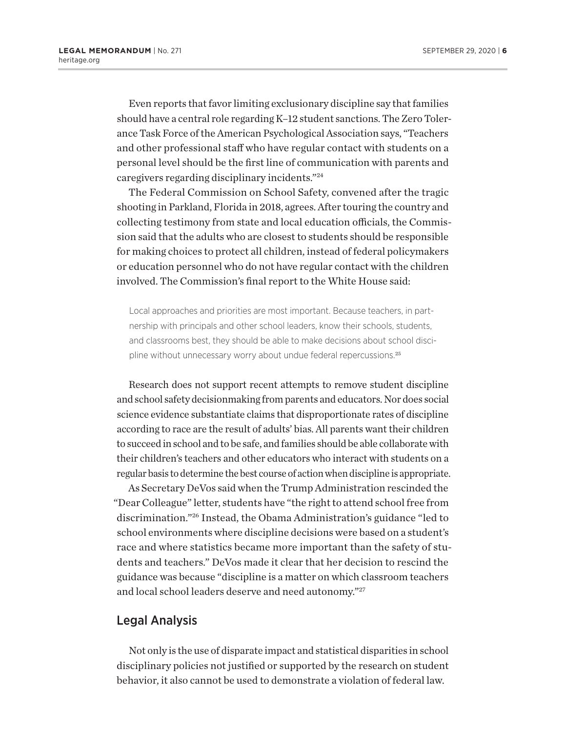Even reports that favor limiting exclusionary discipline say that families should have a central role regarding K–12 student sanctions. The Zero Tolerance Task Force of the American Psychological Association says, "Teachers and other professional staff who have regular contact with students on a personal level should be the first line of communication with parents and caregivers regarding disciplinary incidents."24

The Federal Commission on School Safety, convened after the tragic shooting in Parkland, Florida in 2018, agrees. After touring the country and collecting testimony from state and local education officials, the Commission said that the adults who are closest to students should be responsible for making choices to protect all children, instead of federal policymakers or education personnel who do not have regular contact with the children involved. The Commission's final report to the White House said:

Local approaches and priorities are most important. Because teachers, in partnership with principals and other school leaders, know their schools, students, and classrooms best, they should be able to make decisions about school discipline without unnecessary worry about undue federal repercussions.<sup>25</sup>

Research does not support recent attempts to remove student discipline and school safety decisionmaking from parents and educators. Nor does social science evidence substantiate claims that disproportionate rates of discipline according to race are the result of adults' bias. All parents want their children to succeed in school and to be safe, and families should be able collaborate with their children's teachers and other educators who interact with students on a regular basis to determine the best course of action when discipline is appropriate.

As Secretary DeVos said when the Trump Administration rescinded the "Dear Colleague" letter, students have "the right to attend school free from discrimination."26 Instead, the Obama Administration's guidance "led to school environments where discipline decisions were based on a student's race and where statistics became more important than the safety of students and teachers." DeVos made it clear that her decision to rescind the guidance was because "discipline is a matter on which classroom teachers and local school leaders deserve and need autonomy."27

#### Legal Analysis

Not only is the use of disparate impact and statistical disparities in school disciplinary policies not justified or supported by the research on student behavior, it also cannot be used to demonstrate a violation of federal law.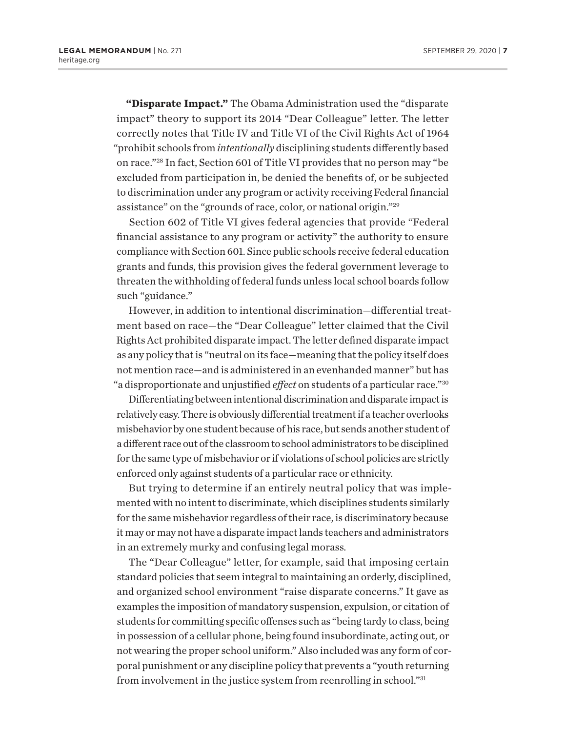**"Disparate Impact."** The Obama Administration used the "disparate impact" theory to support its 2014 "Dear Colleague" letter. The letter correctly notes that Title IV and Title VI of the Civil Rights Act of 1964 "prohibit schools from *intentionally* disciplining students differently based on race."28 In fact, Section 601 of Title VI provides that no person may "be excluded from participation in, be denied the benefits of, or be subjected to discrimination under any program or activity receiving Federal financial assistance" on the "grounds of race, color, or national origin."29

Section 602 of Title VI gives federal agencies that provide "Federal financial assistance to any program or activity" the authority to ensure compliance with Section 601. Since public schools receive federal education grants and funds, this provision gives the federal government leverage to threaten the withholding of federal funds unless local school boards follow such "guidance."

However, in addition to intentional discrimination—differential treatment based on race—the "Dear Colleague" letter claimed that the Civil Rights Act prohibited disparate impact. The letter defined disparate impact as any policy that is "neutral on its face—meaning that the policy itself does not mention race—and is administered in an evenhanded manner" but has "a disproportionate and unjustified *effect* on students of a particular race."30

Differentiating between intentional discrimination and disparate impact is relatively easy. There is obviously differential treatment if a teacher overlooks misbehavior by one student because of his race, but sends another student of a different race out of the classroom to school administrators to be disciplined for the same type of misbehavior or if violations of school policies are strictly enforced only against students of a particular race or ethnicity.

But trying to determine if an entirely neutral policy that was implemented with no intent to discriminate, which disciplines students similarly for the same misbehavior regardless of their race, is discriminatory because it may or may not have a disparate impact lands teachers and administrators in an extremely murky and confusing legal morass.

The "Dear Colleague" letter, for example, said that imposing certain standard policies that seem integral to maintaining an orderly, disciplined, and organized school environment "raise disparate concerns." It gave as examples the imposition of mandatory suspension, expulsion, or citation of students for committing specific offenses such as "being tardy to class, being in possession of a cellular phone, being found insubordinate, acting out, or not wearing the proper school uniform." Also included was any form of corporal punishment or any discipline policy that prevents a "youth returning from involvement in the justice system from reenrolling in school."31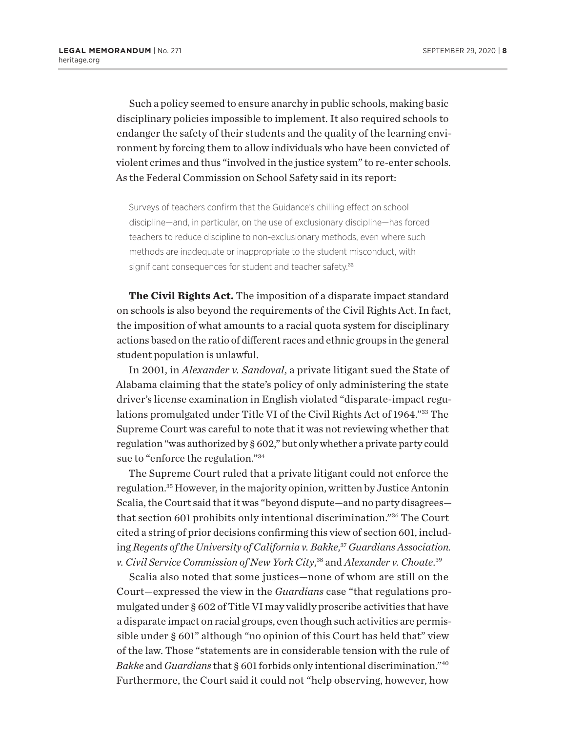Such a policy seemed to ensure anarchy in public schools, making basic disciplinary policies impossible to implement. It also required schools to endanger the safety of their students and the quality of the learning environment by forcing them to allow individuals who have been convicted of violent crimes and thus "involved in the justice system" to re-enter schools. As the Federal Commission on School Safety said in its report:

Surveys of teachers confirm that the Guidance's chilling effect on school discipline—and, in particular, on the use of exclusionary discipline—has forced teachers to reduce discipline to non-exclusionary methods, even where such methods are inadequate or inappropriate to the student misconduct, with significant consequences for student and teacher safety.<sup>32</sup>

**The Civil Rights Act.** The imposition of a disparate impact standard on schools is also beyond the requirements of the Civil Rights Act. In fact, the imposition of what amounts to a racial quota system for disciplinary actions based on the ratio of different races and ethnic groups in the general student population is unlawful.

In 2001, in *Alexander v. Sandoval*, a private litigant sued the State of Alabama claiming that the state's policy of only administering the state driver's license examination in English violated "disparate-impact regulations promulgated under Title VI of the Civil Rights Act of 1964."33 The Supreme Court was careful to note that it was not reviewing whether that regulation "was authorized by § 602," but only whether a private party could sue to "enforce the regulation."34

The Supreme Court ruled that a private litigant could not enforce the regulation.35 However, in the majority opinion, written by Justice Antonin Scalia, the Court said that it was "beyond dispute—and no party disagrees that section 601 prohibits only intentional discrimination."36 The Court cited a string of prior decisions confirming this view of section 601, including *Regents of the University of California v. Bakke*, <sup>37</sup>*Guardians Association. v. Civil Service Commission of New York City*, 38 and *Alexander v. Choate*. 39

Scalia also noted that some justices—none of whom are still on the Court—expressed the view in the *Guardians* case "that regulations promulgated under § 602 of Title VI may validly proscribe activities that have a disparate impact on racial groups, even though such activities are permissible under § 601" although "no opinion of this Court has held that" view of the law. Those "statements are in considerable tension with the rule of *Bakke* and *Guardians* that § 601 forbids only intentional discrimination."40 Furthermore, the Court said it could not "help observing, however, how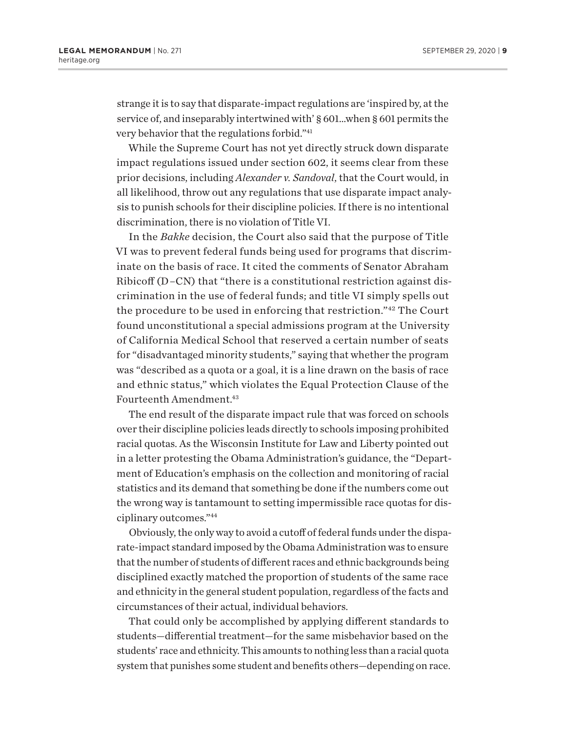strange it is to say that disparate-impact regulations are 'inspired by, at the service of, and inseparably intertwined with' § 601…when § 601 permits the very behavior that the regulations forbid."41

While the Supreme Court has not yet directly struck down disparate impact regulations issued under section 602, it seems clear from these prior decisions, including *Alexander v. Sandoval*, that the Court would, in all likelihood, throw out any regulations that use disparate impact analysis to punish schools for their discipline policies. If there is no intentional discrimination, there is no violation of Title VI.

In the *Bakke* decision, the Court also said that the purpose of Title VI was to prevent federal funds being used for programs that discriminate on the basis of race. It cited the comments of Senator Abraham Ribicoff  $(D-CN)$  that "there is a constitutional restriction against discrimination in the use of federal funds; and title VI simply spells out the procedure to be used in enforcing that restriction."42 The Court found unconstitutional a special admissions program at the University of California Medical School that reserved a certain number of seats for "disadvantaged minority students," saying that whether the program was "described as a quota or a goal, it is a line drawn on the basis of race and ethnic status," which violates the Equal Protection Clause of the Fourteenth Amendment.<sup>43</sup>

The end result of the disparate impact rule that was forced on schools over their discipline policies leads directly to schools imposing prohibited racial quotas. As the Wisconsin Institute for Law and Liberty pointed out in a letter protesting the Obama Administration's guidance, the "Department of Education's emphasis on the collection and monitoring of racial statistics and its demand that something be done if the numbers come out the wrong way is tantamount to setting impermissible race quotas for disciplinary outcomes."44

Obviously, the only way to avoid a cutoff of federal funds under the disparate-impact standard imposed by the Obama Administration was to ensure that the number of students of different races and ethnic backgrounds being disciplined exactly matched the proportion of students of the same race and ethnicity in the general student population, regardless of the facts and circumstances of their actual, individual behaviors.

That could only be accomplished by applying different standards to students—differential treatment—for the same misbehavior based on the students' race and ethnicity. This amounts to nothing less than a racial quota system that punishes some student and benefits others—depending on race.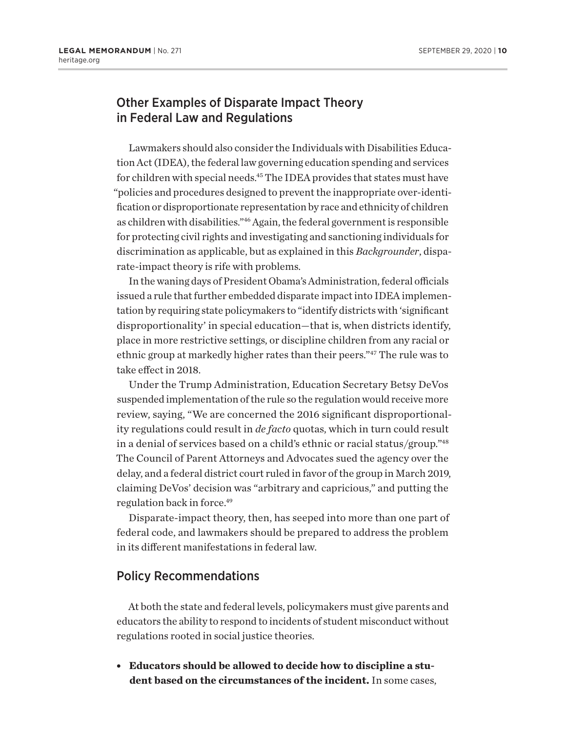## Other Examples of Disparate Impact Theory in Federal Law and Regulations

Lawmakers should also consider the Individuals with Disabilities Education Act (IDEA), the federal law governing education spending and services for children with special needs.<sup>45</sup> The IDEA provides that states must have "policies and procedures designed to prevent the inappropriate over-identification or disproportionate representation by race and ethnicity of children as children with disabilities."46 Again, the federal government is responsible for protecting civil rights and investigating and sanctioning individuals for discrimination as applicable, but as explained in this *Backgrounder*, disparate-impact theory is rife with problems.

In the waning days of President Obama's Administration, federal officials issued a rule that further embedded disparate impact into IDEA implementation by requiring state policymakers to "identify districts with 'significant disproportionality' in special education—that is, when districts identify, place in more restrictive settings, or discipline children from any racial or ethnic group at markedly higher rates than their peers."47 The rule was to take effect in 2018.

Under the Trump Administration, Education Secretary Betsy DeVos suspended implementation of the rule so the regulation would receive more review, saying, "We are concerned the 2016 significant disproportionality regulations could result in *de facto* quotas, which in turn could result in a denial of services based on a child's ethnic or racial status/group."48 The Council of Parent Attorneys and Advocates sued the agency over the delay, and a federal district court ruled in favor of the group in March 2019, claiming DeVos' decision was "arbitrary and capricious," and putting the regulation back in force.<sup>49</sup>

Disparate-impact theory, then, has seeped into more than one part of federal code, and lawmakers should be prepared to address the problem in its different manifestations in federal law.

### Policy Recommendations

At both the state and federal levels, policymakers must give parents and educators the ability to respond to incidents of student misconduct without regulations rooted in social justice theories.

**Educators should be allowed to decide how to discipline a student based on the circumstances of the incident.** In some cases,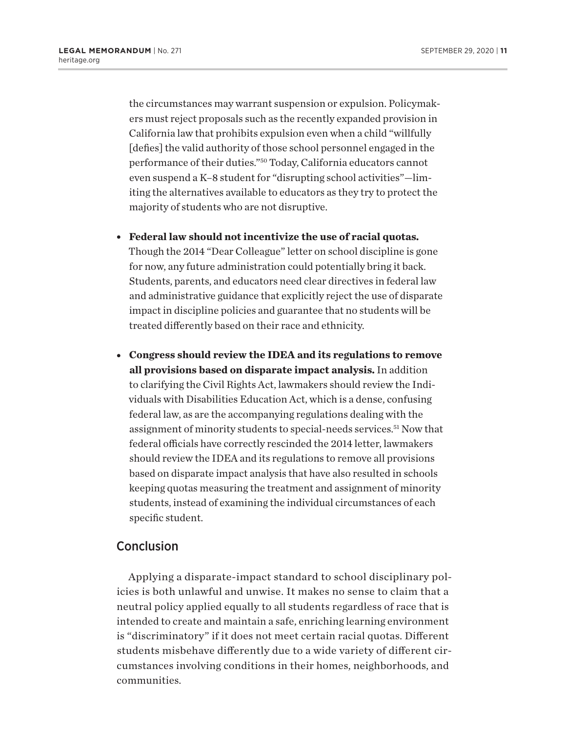the circumstances may warrant suspension or expulsion. Policymakers must reject proposals such as the recently expanded provision in California law that prohibits expulsion even when a child "willfully [defies] the valid authority of those school personnel engaged in the performance of their duties."50 Today, California educators cannot even suspend a K–8 student for "disrupting school activities"—limiting the alternatives available to educators as they try to protect the majority of students who are not disruptive.

- **Federal law should not incentivize the use of racial quotas.** Though the 2014 "Dear Colleague" letter on school discipline is gone for now, any future administration could potentially bring it back. Students, parents, and educators need clear directives in federal law and administrative guidance that explicitly reject the use of disparate impact in discipline policies and guarantee that no students will be treated differently based on their race and ethnicity.
- <sup>l</sup> **Congress should review the IDEA and its regulations to remove all provisions based on disparate impact analysis.** In addition to clarifying the Civil Rights Act, lawmakers should review the Individuals with Disabilities Education Act, which is a dense, confusing federal law, as are the accompanying regulations dealing with the assignment of minority students to special-needs services.51 Now that federal officials have correctly rescinded the 2014 letter, lawmakers should review the IDEA and its regulations to remove all provisions based on disparate impact analysis that have also resulted in schools keeping quotas measuring the treatment and assignment of minority students, instead of examining the individual circumstances of each specific student.

#### **Conclusion**

Applying a disparate-impact standard to school disciplinary policies is both unlawful and unwise. It makes no sense to claim that a neutral policy applied equally to all students regardless of race that is intended to create and maintain a safe, enriching learning environment is "discriminatory" if it does not meet certain racial quotas. Different students misbehave differently due to a wide variety of different circumstances involving conditions in their homes, neighborhoods, and communities.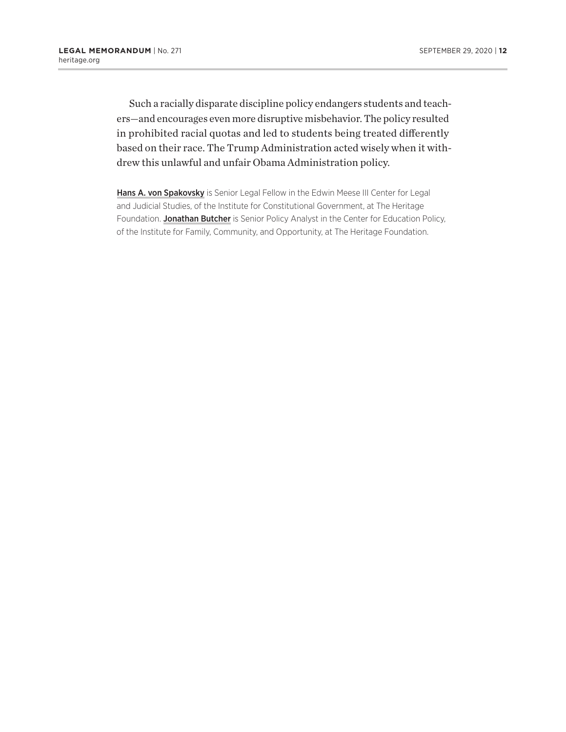Such a racially disparate discipline policy endangers students and teachers—and encourages even more disruptive misbehavior. The policy resulted in prohibited racial quotas and led to students being treated differently based on their race. The Trump Administration acted wisely when it withdrew this unlawful and unfair Obama Administration policy.

Hans A. von Spakovsky is Senior Legal Fellow in the Edwin Meese III Center for Legal and Judicial Studies, of the Institute for Constitutional Government, at The Heritage Foundation. Jonathan Butcher is Senior Policy Analyst in the Center for Education Policy, of the Institute for Family, Community, and Opportunity, at The Heritage Foundation.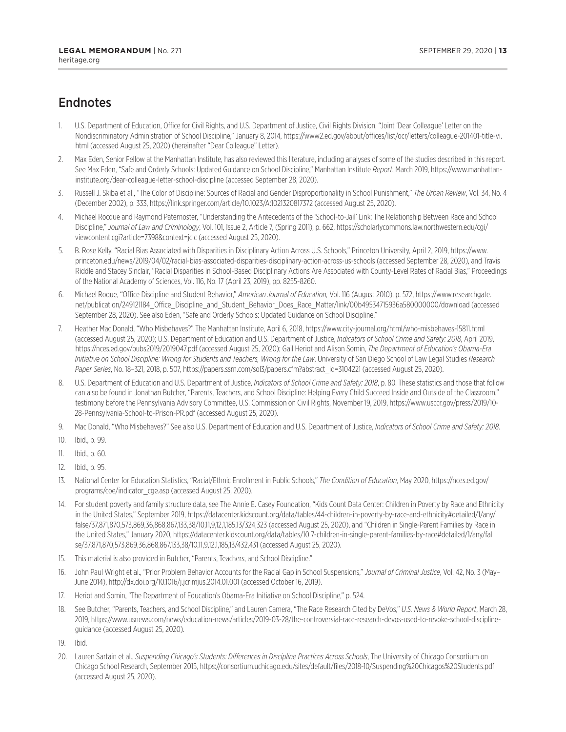## **Endnotes**

- 1. U.S. Department of Education, Office for Civil Rights, and U.S. Department of Justice, Civil Rights Division, "Joint 'Dear Colleague' Letter on the Nondiscriminatory Administration of School Discipline," January 8, 2014, https://www2.ed.gov/about/offices/list/ocr/letters/colleague-201401-title-vi. html (accessed August 25, 2020) (hereinafter "Dear Colleague" Letter).
- 2. Max Eden, Senior Fellow at the Manhattan Institute, has also reviewed this literature, including analyses of some of the studies described in this report. See Max Eden, "Safe and Orderly Schools: Updated Guidance on School Discipline," Manhattan Institute *Report*, March 2019, https://www.manhattaninstitute.org/dear-colleague-letter-school-discipline (accessed September 28, 2020).
- 3. Russell J. Skiba et al., "The Color of Discipline: Sources of Racial and Gender Disproportionality in School Punishment," *The Urban Review*, Vol. 34, No. 4 (December 2002), p. 333, https://link.springer.com/article/10.1023/A:1021320817372 (accessed August 25, 2020).
- 4. Michael Rocque and Raymond Paternoster, "Understanding the Antecedents of the 'School-to-Jail' Link: The Relationship Between Race and School Discipline," *Journal of Law and Criminology*, Vol. 101, Issue 2, Article 7, (Spring 2011), p. 662, https://scholarlycommons.law.northwestern.edu/cgi/ viewcontent.cgi?article=7398&context=jclc (accessed August 25, 2020).
- 5. B. Rose Kelly, "Racial Bias Associated with Disparities in Disciplinary Action Across U.S. Schools," Princeton University, April 2, 2019, https://www. princeton.edu/news/2019/04/02/racial-bias-associated-disparities-disciplinary-action-across-us-schools (accessed September 28, 2020), and Travis Riddle and Stacey Sinclair, "Racial Disparities in School-Based Disciplinary Actions Are Associated with County-Level Rates of Racial Bias," Proceedings of the National Academy of Sciences, Vol. 116, No. 17 (April 23, 2019), pp. 8255-8260.
- 6. Michael Roque, "Office Discipline and Student Behavior," *American Journal of Education,* Vol. 116 (August 2010), p. 572, https://www.researchgate. net/publication/249121184\_Office\_Discipline\_and\_Student\_Behavior\_Does\_Race\_Matter/link/00b49534715936a580000000/download (accessed September 28, 2020). See also Eden, "Safe and Orderly Schools: Updated Guidance on School Discipline."
- 7. Heather Mac Donald, "Who Misbehaves?" The Manhattan Institute, April 6, 2018, https://www.city-journal.org/html/who-misbehaves-15811.html (accessed August 25, 2020); U.S. Department of Education and U.S. Department of Justice, *Indicators of School Crime and Safety: 2018*, April 2019, https://nces.ed.gov/pubs2019/2019047.pdf (accessed August 25, 2020); Gail Heriot and Alison Somin, *The Department of Education's Obama-Era Initiative on School Discipline: Wrong for Students and Teachers, Wrong for the Law*, University of San Diego School of Law Legal Studies *Research Paper Series*, No. 18–321, 2018, p. 507, https://papers.ssrn.com/sol3/papers.cfm?abstract\_id=3104221 (accessed August 25, 2020).
- 8. U.S. Department of Education and U.S. Department of Justice, *Indicators of School Crime and Safety: 2018*, p. 80. These statistics and those that follow can also be found in Jonathan Butcher, "Parents, Teachers, and School Discipline: Helping Every Child Succeed Inside and Outside of the Classroom," testimony before the Pennsylvania Advisory Committee, U.S. Commission on Civil Rights, November 19, 2019, https://www.usccr.gov/press/2019/10- 28-Pennsylvania-School-to-Prison-PR.pdf (accessed August 25, 2020).
- 9. Mac Donald, "Who Misbehaves?" See also U.S. Department of Education and U.S. Department of Justice, *Indicators of School Crime and Safety: 2018*.
- 10. Ibid., p. 99.
- 11. Ibid., p. 60.
- 12. Ibid., p. 95.
- 13. National Center for Education Statistics, "Racial/Ethnic Enrollment in Public Schools," *The Condition of Education*, May 2020, https://nces.ed.gov/ programs/coe/indicator\_cge.asp (accessed August 25, 2020).
- 14. For student poverty and family structure data, see The Annie E. Casey Foundation, "Kids Count Data Center: Children in Poverty by Race and Ethnicity in the United States," September 2019, https://datacenter.kidscount.org/data/tables/44-children-in-poverty-by-race-and-ethnicity#detailed/1/any/ false/37,871,870,573,869,36,868,867,133,38/10,11,9,12,1,185,13/324,323 (accessed August 25, 2020), and "Children in Single-Parent Families by Race in the United States," January 2020, https://datacenter.kidscount.org/data/tables/10 7-children-in-single-parent-families-by-race#detailed/1/any/fal se/37,871,870,573,869,36,868,867,133,38/10,11,9,12,1,185,13/432,431 (accessed August 25, 2020).
- 15. This material is also provided in Butcher, "Parents, Teachers, and School Discipline."
- 16. John Paul Wright et al., "Prior Problem Behavior Accounts for the Racial Gap in School Suspensions," *Journal of Criminal Justice*, Vol. 42, No. 3 (May– June 2014), http://dx.doi.org/10.1016/j.jcrimjus.2014.01.001 (accessed October 16, 2019).
- 17. Heriot and Somin, "The Department of Education's Obama-Era Initiative on School Discipline," p. 524.
- 18. See Butcher, "Parents, Teachers, and School Discipline," and Lauren Camera, "The Race Research Cited by DeVos," *U.S. News & World Report*, March 28, 2019, https://www.usnews.com/news/education-news/articles/2019-03-28/the-controversial-race-research-devos-used-to-revoke-school-disciplineguidance (accessed August 25, 2020).
- 19. Ibid.
- 20. Lauren Sartain et al., *Suspending Chicago's Students: Differences in Discipline Practices Across Schools*, The University of Chicago Consortium on Chicago School Research, September 2015, https://consortium.uchicago.edu/sites/default/files/2018-10/Suspending%20Chicagos%20Students.pdf (accessed August 25, 2020).